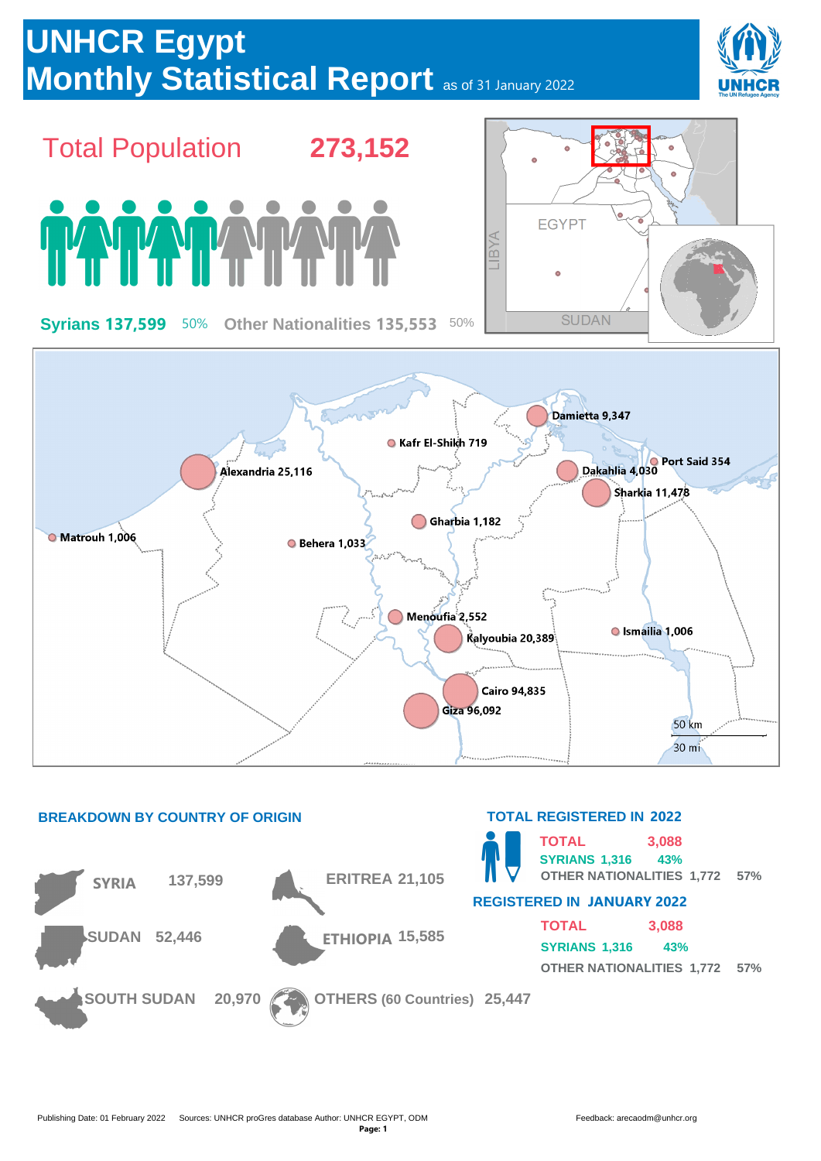

| <b>TOTAL</b>                         | 3,088 |  |  |
|--------------------------------------|-------|--|--|
| SYRIANS 1.316                        | 43%   |  |  |
| <b>OTHER NATIONALITIES 1,772 57%</b> |       |  |  |

**SOUTH SUDAN 20,970 OTHERS (60 Countries) 25,447**

**SUDAN 52,446 ETHIOPIA 15,585**